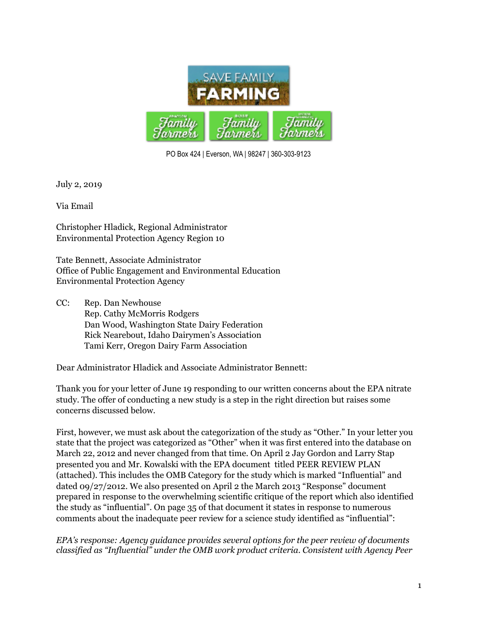

PO Box 424 | Everson, WA | 98247 | 360-303-9123

July 2, 2019

Via Email

Christopher Hladick, Regional Administrator Environmental Protection Agency Region 10

Tate Bennett, Associate Administrator Office of Public Engagement and Environmental Education Environmental Protection Agency

CC: Rep. Dan Newhouse Rep. Cathy McMorris Rodgers Dan Wood, Washington State Dairy Federation Rick Nearebout, Idaho Dairymen's Association Tami Kerr, Oregon Dairy Farm Association

Dear Administrator Hladick and Associate Administrator Bennett:

Thank you for your letter of June 19 responding to our written concerns about the EPA nitrate study. The offer of conducting a new study is a step in the right direction but raises some concerns discussed below.

First, however, we must ask about the categorization of the study as "Other." In your letter you state that the project was categorized as "Other" when it was first entered into the database on March 22, 2012 and never changed from that time. On April 2 Jay Gordon and Larry Stap presented you and Mr. Kowalski with the EPA document titled PEER REVIEW PLAN (attached). This includes the OMB Category for the study which is marked "Influential" and dated 09/27/2012. We also presented on April 2 the March 2013 "Response" document prepared in response to the overwhelming scientific critique of the report which also identified the study as "influential". On page 35 of that document it states in response to numerous comments about the inadequate peer review for a science study identified as "influential":

*EPA's response: Agency guidance provides several options for the peer review of documents classified as "Influential" under the OMB work product criteria. Consistent with Agency Peer*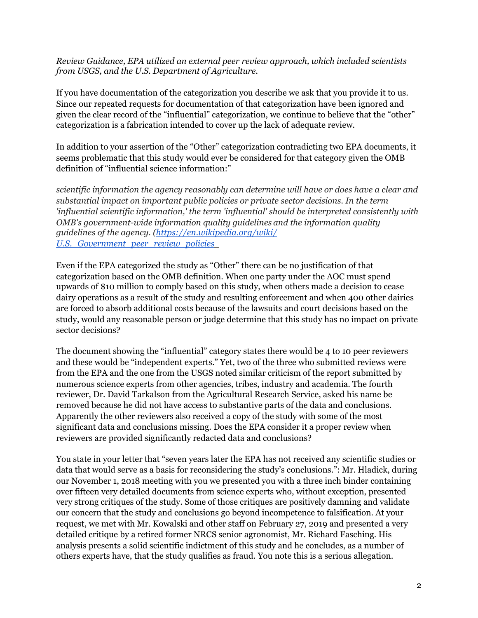*Review Guidance, EPA utilized an external peer review approach, which included scientists from USGS, and the U.S. Department of Agriculture.* 

If you have documentation of the categorization you describe we ask that you provide it to us. Since our repeated requests for documentation of that categorization have been ignored and given the clear record of the "influential" categorization, we continue to believe that the "other" categorization is a fabrication intended to cover up the lack of adequate review.

In addition to your assertion of the "Other" categorization contradicting two EPA documents, it seems problematic that this study would ever be considered for that category given the OMB definition of "influential science information:"

*scientific information the agency reasonably can determine will have or does have a clear and substantial impact on important public policies or private sector decisions. In the term 'influential scientific information,' the term 'influential' should be interpreted consistently with OMB's government-wide information quality guidelines and the information quality [guidelines of the agency. \(https://en.wikipedia.org/wiki/](https://en.wikipedia.org/wiki/U.S._Government_peer_review_policies) [U.S.\\_Government\\_peer\\_review\\_policies\\_](https://en.wikipedia.org/wiki/U.S._Government_peer_review_policies)* 

Even if the EPA categorized the study as "Other" there can be no justification of that categorization based on the OMB definition. When one party under the AOC must spend upwards of \$10 million to comply based on this study, when others made a decision to cease dairy operations as a result of the study and resulting enforcement and when 400 other dairies are forced to absorb additional costs because of the lawsuits and court decisions based on the study, would any reasonable person or judge determine that this study has no impact on private sector decisions?

The document showing the "influential" category states there would be 4 to 10 peer reviewers and these would be "independent experts." Yet, two of the three who submitted reviews were from the EPA and the one from the USGS noted similar criticism of the report submitted by numerous science experts from other agencies, tribes, industry and academia. The fourth reviewer, Dr. David Tarkalson from the Agricultural Research Service, asked his name be removed because he did not have access to substantive parts of the data and conclusions. Apparently the other reviewers also received a copy of the study with some of the most significant data and conclusions missing. Does the EPA consider it a proper review when reviewers are provided significantly redacted data and conclusions?

You state in your letter that "seven years later the EPA has not received any scientific studies or data that would serve as a basis for reconsidering the study's conclusions.": Mr. Hladick, during our November 1, 2018 meeting with you we presented you with a three inch binder containing over fifteen very detailed documents from science experts who, without exception, presented very strong critiques of the study. Some of those critiques are positively damning and validate our concern that the study and conclusions go beyond incompetence to falsification. At your request, we met with Mr. Kowalski and other staff on February 27, 2019 and presented a very detailed critique by a retired former NRCS senior agronomist, Mr. Richard Fasching. His analysis presents a solid scientific indictment of this study and he concludes, as a number of others experts have, that the study qualifies as fraud. You note this is a serious allegation.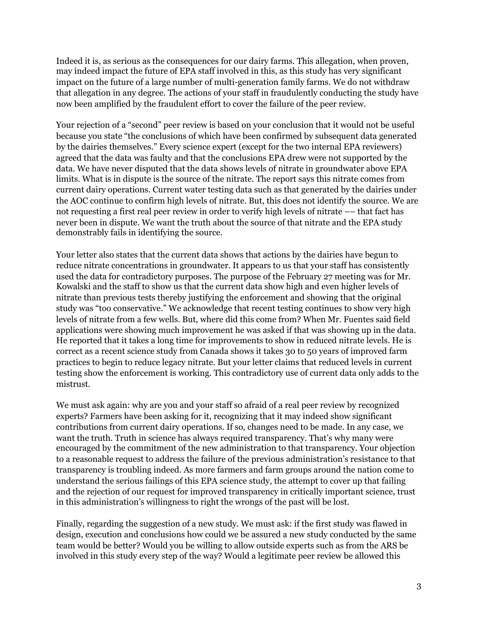Indeed it is, as serious as the consequences for our dairy farms. This allegation, when proven, may indeed impact the future of EPA staff involved in this, as this study has very significant impact on the future of a large number of multi-generation family farms. We do not withdraw that allegation in any degree. The actions of your staff in fraudulently conducting the study have now been amplified by the fraudulent effort to cover the failure of the peer review.

Your rejection of a "second" peer review is based on your conclusion that it would not be useful because you state "the conclusions of which have been confirmed by subsequent data generated by the dairies themselves." Every science expert (except for the two internal EPA reviewers) agreed that the data was faulty and that the conclusions EPA drew were not supported by the data. We have never disputed that the data shows levels of nitrate in groundwater above EPA limits. What is in dispute is the source of the nitrate. The report says this nitrate comes from current dairy operations. Current water testing data such as that generated by the dairies under the AOC continue to confirm high levels of nitrate. But, this does not identify the source. We are not requesting a first real peer review in order to verify high levels of nitrate –– that fact has never been in dispute. We want the truth about the source of that nitrate and the EPA study demonstrably fails in identifying the source.

Your letter also states that the current data shows that actions by the dairies have begun to reduce nitrate concentrations in groundwater. It appears to us that your staff has consistently used the data for contradictory purposes. The purpose of the February 27 meeting was for Mr. Kowalski and the staff to show us that the current data show high and even higher levels of nitrate than previous tests thereby justifying the enforcement and showing that the original study was "too conservative." We acknowledge that recent testing continues to show very high levels of nitrate from a few wells. But, where did this come from? When Mr. Fuentes said field applications were showing much improvement he was asked if that was showing up in the data. He reported that it takes a long time for improvements to show in reduced nitrate levels. He is correct as a recent science study from Canada shows it takes 30 to 50 years of improved farm practices to begin to reduce legacy nitrate. But your letter claims that reduced levels in current testing show the enforcement is working. This contradictory use of current data only adds to the mistrust.

We must ask again: why are you and your staff so afraid of a real peer review by recognized experts? Farmers have been asking for it, recognizing that it may indeed show significant contributions from current dairy operations. If so, changes need to be made. In any case, we want the truth. Truth in science has always required transparency. That's why many were encouraged by the commitment of the new administration to that transparency. Your objection to a reasonable request to address the failure of the previous administration's resistance to that transparency is troubling indeed. As more farmers and farm groups around the nation come to understand the serious failings of this EPA science study, the attempt to cover up that failing and the rejection of our request for improved transparency in critically important science, trust in this administration's willingness to right the wrongs of the past will be lost.

Finally, regarding the suggestion of a new study. We must ask: if the first study was flawed in design, execution and conclusions how could we be assured a new study conducted by the same team would be better? Would you be willing to allow outside experts such as from the ARS be involved in this study every step of the way? Would a legitimate peer review be allowed this